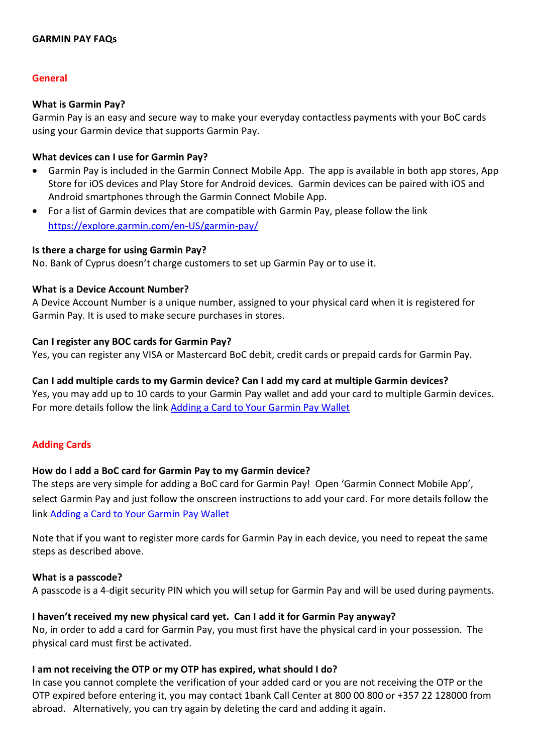## **GARMIN PAY FAQs**

## **General**

#### **What is Garmin Pay?**

Garmin Pay is an easy and secure way to make your everyday contactless payments with your BoC cards using your Garmin device that supports Garmin Pay.

## **What devices can I use for Garmin Pay?**

- Garmin Pay is included in the Garmin Connect Mobile App. The app is available in both app stores, App Store for iOS devices and Play Store for Android devices. Garmin devices can be paired with iOS and Android smartphones through the Garmin Connect Mobile App.
- For a list of Garmin devices that are compatible with Garmin Pay, please follow the link <https://explore.garmin.com/en-US/garmin-pay/>

#### **Is there a charge for using Garmin Pay?**

No. Bank of Cyprus doesn't charge customers to set up Garmin Pay or to use it.

#### **What is a Device Account Number?**

A Device Account Number is a unique number, assigned to your physical card when it is registered for Garmin Pay. It is used to make secure purchases in stores.

#### **Can I register any BOC cards for Garmin Pay?**

Yes, you can register any VISA or Mastercard BoC debit, credit cards or prepaid cards for Garmin Pay.

## **Can I add multiple cards to my Garmin device? Can I add my card at multiple Garmin devices?**

Yes, you may add up to 10 cards to your Garmin Pay wallet and add your card to multiple Garmin devices. For more details follow the link [Adding a Card to Your Garmin](https://www8.garmin.com/manuals/webhelp/vivoactive3/EN-US/GUID-E330B2F3-4E25-4589-8A47-9695FC4A35A3.html) Pay Wallet

## **Adding Cards**

#### **How do I add a BoC card for Garmin Pay to my Garmin device?**

The steps are very simple for adding a BoC card for Garmin Pay! Open 'Garmin Connect Mobile App', select Garmin Pay and just follow the onscreen instructions to add your card. For more details follow the link [Adding a Card to Your Garmin](https://www8.garmin.com/manuals/webhelp/vivoactive3/EN-US/GUID-E330B2F3-4E25-4589-8A47-9695FC4A35A3.html) Pay Wallet

Note that if you want to register more cards for Garmin Pay in each device, you need to repeat the same steps as described above.

#### **What is a passcode?**

A passcode is a 4-digit security PIN which you will setup for Garmin Pay and will be used during payments.

## **I haven't received my new physical card yet. Can I add it for Garmin Pay anyway?**

No, in order to add a card for Garmin Pay, you must first have the physical card in your possession. The physical card must first be activated.

## **I am not receiving the OTP or my OTP has expired, what should I do?**

In case you cannot complete the verification of your added card or you are not receiving the OTP or the OTP expired before entering it, you may contact 1bank Call Center at 800 00 800 or +357 22 128000 from abroad. Alternatively, you can try again by deleting the card and adding it again.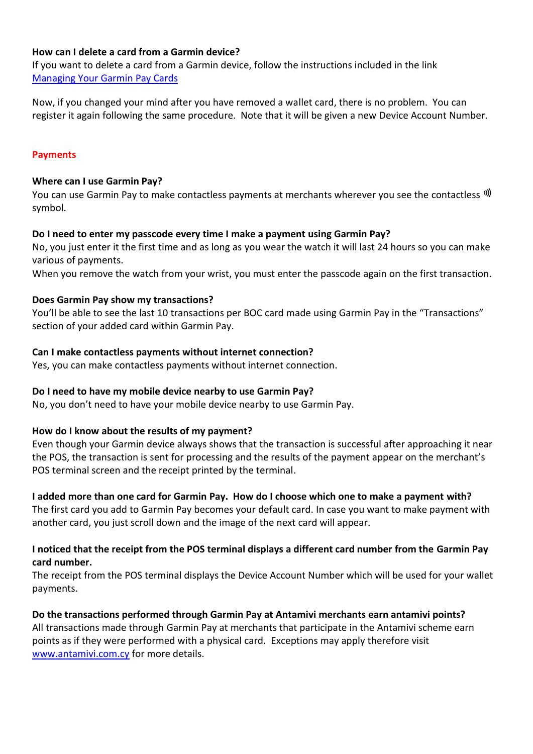## **How can I delete a card from a Garmin device?**

If you want to delete a card from a Garmin device, follow the instructions included in the link [Managing Your Garmin](https://www8.garmin.com/manuals/webhelp/vivoactive3/EN-US/GUID-85CC8ED7-7705-4D5F-9E2C-1CB37228D481.html) Pay Cards

Now, if you changed your mind after you have removed a wallet card, there is no problem. You can register it again following the same procedure. Note that it will be given a new Device Account Number.

## **Payments**

#### **Where can I use Garmin Pay?**

You can use Garmin Pay to make contactless payments at merchants wherever you see the contactless  $\mathcal{W}$ symbol.

## **Do I need to enter my passcode every time I make a payment using Garmin Pay?**

No, you just enter it the first time and as long as you wear the watch it will last 24 hours so you can make various of payments.

When you remove the watch from your wrist, you must enter the passcode again on the first transaction.

#### **Does Garmin Pay show my transactions?**

You'll be able to see the last 10 transactions per BOC card made using Garmin Pay in the "Transactions" section of your added card within Garmin Pay.

## **Can I make contactless payments without internet connection?**

Yes, you can make contactless payments without internet connection.

## **Do I need to have my mobile device nearby to use Garmin Pay?**

No, you don't need to have your mobile device nearby to use Garmin Pay.

## **How do I know about the results of my payment?**

Even though your Garmin device always shows that the transaction is successful after approaching it near the POS, the transaction is sent for processing and the results of the payment appear on the merchant's POS terminal screen and the receipt printed by the terminal.

## **I added more than one card for Garmin Pay. How do I choose which one to make a payment with?**

The first card you add to Garmin Pay becomes your default card. In case you want to make payment with another card, you just scroll down and the image of the next card will appear.

## **I noticed that the receipt from the POS terminal displays a different card number from the Garmin Pay card number.**

The receipt from the POS terminal displays the Device Account Number which will be used for your wallet payments.

**Do the transactions performed through Garmin Pay at Antamivi merchants earn antamivi points?**  All transactions made through Garmin Pay at merchants that participate in the Antamivi scheme earn points as if they were performed with a physical card. Exceptions may apply therefore visit [www.antamivi.com.cy](http://www.antamivi.com.cy/) for more details.